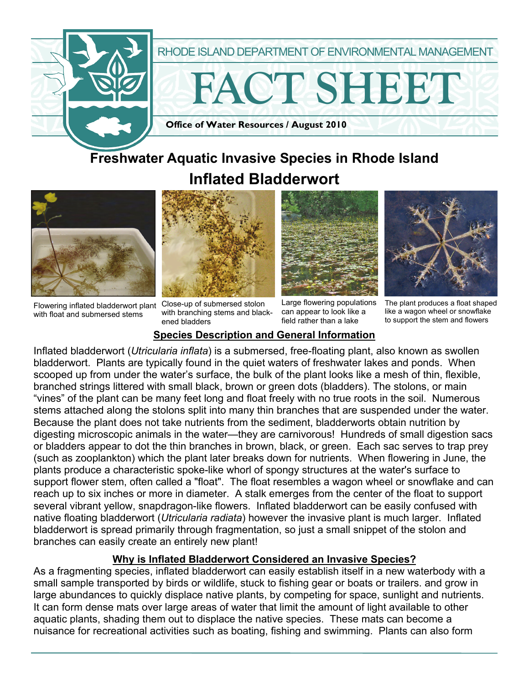

# **Freshwater Aquatic Invasive Species in Rhode Island Inflated Bladderwort**



Flowering inflated bladderwort plant Close-up of submersed stolon with float and submersed stems



with branching stems and blackened bladders





Large flowering populations can appear to look like a field rather than a lake

The plant produces a float shaped like a wagon wheel or snowflake to support the stem and flowers

### **Species Description and General Information**

Inflated bladderwort (*Utricularia inflata*) is a submersed, free-floating plant, also known as swollen bladderwort. Plants are typically found in the quiet waters of freshwater lakes and ponds. When scooped up from under the water's surface, the bulk of the plant looks like a mesh of thin, flexible, branched strings littered with small black, brown or green dots (bladders). The stolons, or main "vines" of the plant can be many feet long and float freely with no true roots in the soil. Numerous stems attached along the stolons split into many thin branches that are suspended under the water. Because the plant does not take nutrients from the sediment, bladderworts obtain nutrition by digesting microscopic animals in the water—they are carnivorous! Hundreds of small digestion sacs or bladders appear to dot the thin branches in brown, black, or green. Each sac serves to trap prey (such as zooplankton) which the plant later breaks down for nutrients. When flowering in June, the plants produce a characteristic spoke-like whorl of spongy structures at the water's surface to support flower stem, often called a "float". The float resembles a wagon wheel or snowflake and can reach up to six inches or more in diameter. A stalk emerges from the center of the float to support several vibrant yellow, snapdragon-like flowers. Inflated bladderwort can be easily confused with native floating bladderwort (*Utricularia radiata*) however the invasive plant is much larger. Inflated bladderwort is spread primarily through fragmentation, so just a small snippet of the stolon and branches can easily create an entirely new plant!

#### **Why is Inflated Bladderwort Considered an Invasive Species?**

As a fragmenting species, inflated bladderwort can easily establish itself in a new waterbody with a small sample transported by birds or wildlife, stuck to fishing gear or boats or trailers. and grow in large abundances to quickly displace native plants, by competing for space, sunlight and nutrients. It can form dense mats over large areas of water that limit the amount of light available to other aquatic plants, shading them out to displace the native species. These mats can become a nuisance for recreational activities such as boating, fishing and swimming. Plants can also form